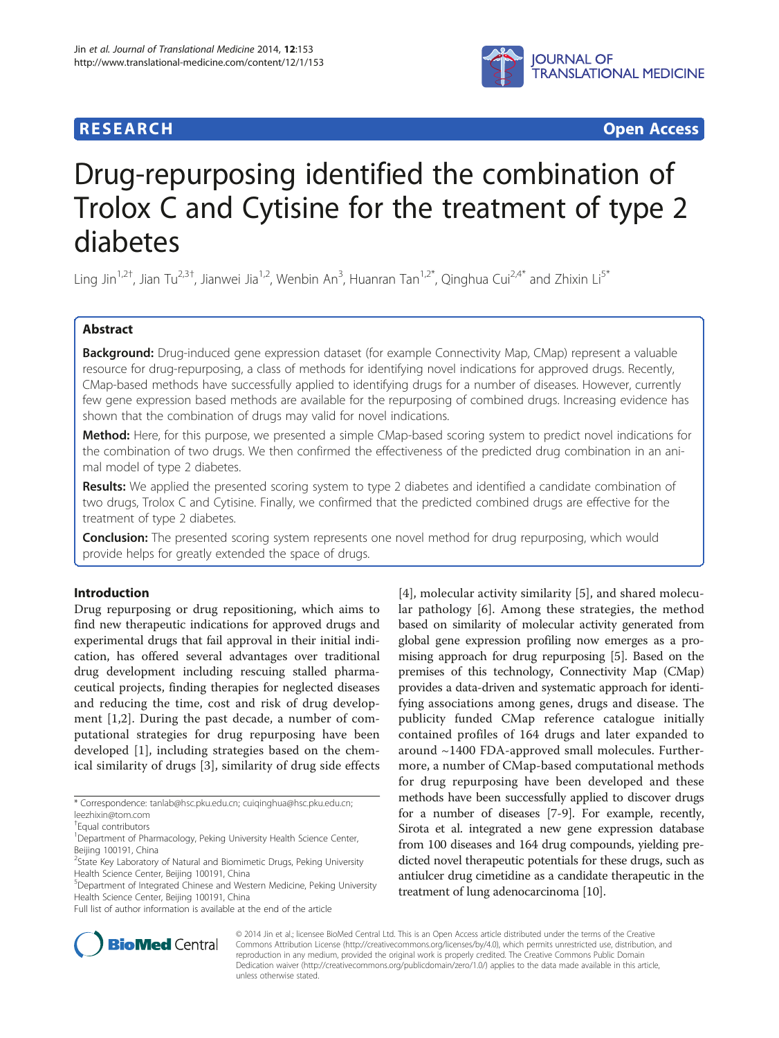## **RESEARCH CHINESE ARCH CHINESE ARCH CHINESE ARCH <b>CHINESE ARCH**



# Drug-repurposing identified the combination of Trolox C and Cytisine for the treatment of type 2 diabetes

Ling Jin<sup>1,2†</sup>, Jian Tu<sup>2,3†</sup>, Jianwei Jia<sup>1,2</sup>, Wenbin An<sup>3</sup>, Huanran Tan<sup>1,2\*</sup>, Qinghua Cui<sup>2,4\*</sup> and Zhixin Li<sup>5\*</sup>

## Abstract

Background: Drug-induced gene expression dataset (for example Connectivity Map, CMap) represent a valuable resource for drug-repurposing, a class of methods for identifying novel indications for approved drugs. Recently, CMap-based methods have successfully applied to identifying drugs for a number of diseases. However, currently few gene expression based methods are available for the repurposing of combined drugs. Increasing evidence has shown that the combination of drugs may valid for novel indications.

Method: Here, for this purpose, we presented a simple CMap-based scoring system to predict novel indications for the combination of two drugs. We then confirmed the effectiveness of the predicted drug combination in an animal model of type 2 diabetes.

Results: We applied the presented scoring system to type 2 diabetes and identified a candidate combination of two drugs, Trolox C and Cytisine. Finally, we confirmed that the predicted combined drugs are effective for the treatment of type 2 diabetes.

**Conclusion:** The presented scoring system represents one novel method for drug repurposing, which would provide helps for greatly extended the space of drugs.

## Introduction

Drug repurposing or drug repositioning, which aims to find new therapeutic indications for approved drugs and experimental drugs that fail approval in their initial indication, has offered several advantages over traditional drug development including rescuing stalled pharmaceutical projects, finding therapies for neglected diseases and reducing the time, cost and risk of drug development [\[1](#page-5-0),[2\]](#page-5-0). During the past decade, a number of computational strategies for drug repurposing have been developed [[1\]](#page-5-0), including strategies based on the chemical similarity of drugs [\[3](#page-5-0)], similarity of drug side effects

\* Correspondence: [tanlab@hsc.pku.edu.cn](mailto:tanlab@hsc.pku.edu.cn); [cuiqinghua@hsc.pku.edu.cn](mailto:cuiqinghua@hsc.pku.edu.cn); [leezhixin@tom.com](mailto:leezhixin@tom.com)

<sup>1</sup>Department of Pharmacology, Peking University Health Science Center, Beijing 100191, China

Full list of author information is available at the end of the article

[[4](#page-5-0)], molecular activity similarity [[5](#page-5-0)], and shared molecular pathology [\[6](#page-5-0)]. Among these strategies, the method based on similarity of molecular activity generated from global gene expression profiling now emerges as a promising approach for drug repurposing [[5\]](#page-5-0). Based on the premises of this technology, Connectivity Map (CMap) provides a data-driven and systematic approach for identifying associations among genes, drugs and disease. The publicity funded CMap reference catalogue initially contained profiles of 164 drugs and later expanded to around ~1400 FDA-approved small molecules. Furthermore, a number of CMap-based computational methods for drug repurposing have been developed and these methods have been successfully applied to discover drugs for a number of diseases [\[7](#page-5-0)-[9](#page-5-0)]. For example, recently, Sirota et al. integrated a new gene expression database from 100 diseases and 164 drug compounds, yielding predicted novel therapeutic potentials for these drugs, such as antiulcer drug cimetidine as a candidate therapeutic in the treatment of lung adenocarcinoma [\[10](#page-5-0)].



© 2014 Jin et al.; licensee BioMed Central Ltd. This is an Open Access article distributed under the terms of the Creative Commons Attribution License [\(http://creativecommons.org/licenses/by/4.0\)](http://creativecommons.org/licenses/by/4.0), which permits unrestricted use, distribution, and reproduction in any medium, provided the original work is properly credited. The Creative Commons Public Domain Dedication waiver [\(http://creativecommons.org/publicdomain/zero/1.0/](http://creativecommons.org/publicdomain/zero/1.0/)) applies to the data made available in this article, unless otherwise stated.

<sup>†</sup> Equal contributors

<sup>&</sup>lt;sup>2</sup>State Key Laboratory of Natural and Biomimetic Drugs, Peking University Health Science Center, Beijing 100191, China

<sup>5</sup> Department of Integrated Chinese and Western Medicine, Peking University Health Science Center, Beijing 100191, China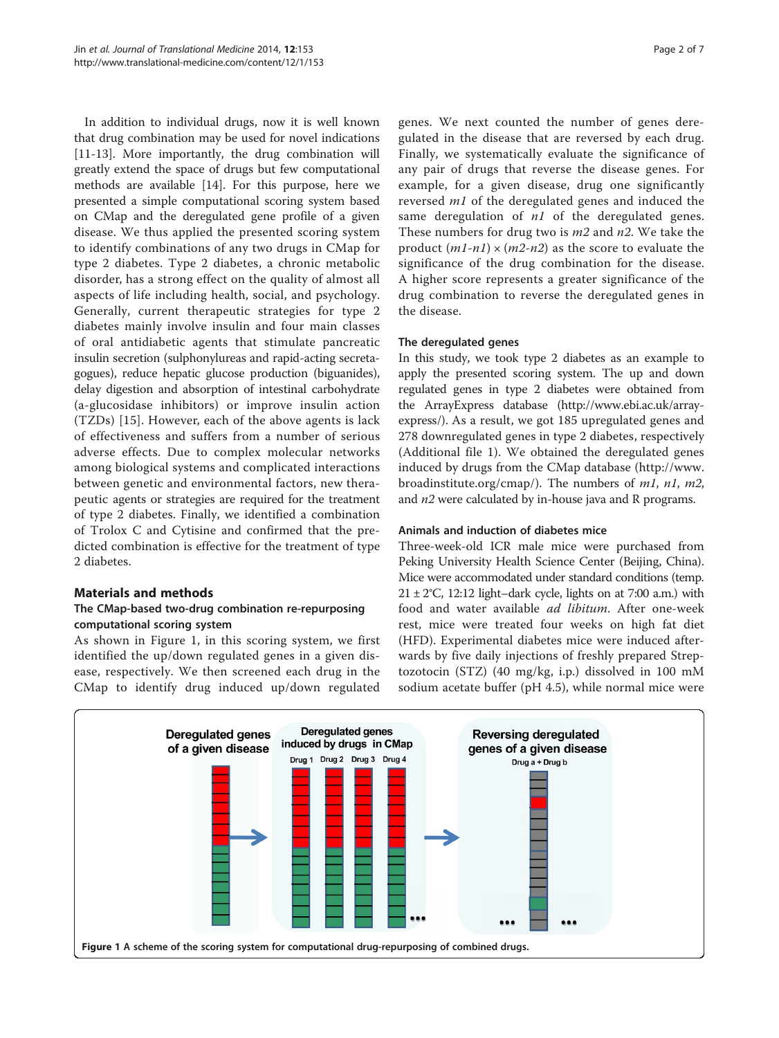In addition to individual drugs, now it is well known that drug combination may be used for novel indications [[11-13](#page-5-0)]. More importantly, the drug combination will greatly extend the space of drugs but few computational methods are available [\[14](#page-5-0)]. For this purpose, here we presented a simple computational scoring system based on CMap and the deregulated gene profile of a given disease. We thus applied the presented scoring system to identify combinations of any two drugs in CMap for type 2 diabetes. Type 2 diabetes, a chronic metabolic disorder, has a strong effect on the quality of almost all aspects of life including health, social, and psychology. Generally, current therapeutic strategies for type 2 diabetes mainly involve insulin and four main classes of oral antidiabetic agents that stimulate pancreatic insulin secretion (sulphonylureas and rapid-acting secretagogues), reduce hepatic glucose production (biguanides), delay digestion and absorption of intestinal carbohydrate (a-glucosidase inhibitors) or improve insulin action (TZDs) [\[15\]](#page-5-0). However, each of the above agents is lack of effectiveness and suffers from a number of serious adverse effects. Due to complex molecular networks among biological systems and complicated interactions between genetic and environmental factors, new therapeutic agents or strategies are required for the treatment of type 2 diabetes. Finally, we identified a combination of Trolox C and Cytisine and confirmed that the predicted combination is effective for the treatment of type 2 diabetes.

#### Materials and methods

#### The CMap-based two-drug combination re-repurposing computational scoring system

As shown in Figure 1, in this scoring system, we first identified the up/down regulated genes in a given disease, respectively. We then screened each drug in the CMap to identify drug induced up/down regulated

genes. We next counted the number of genes deregulated in the disease that are reversed by each drug. Finally, we systematically evaluate the significance of any pair of drugs that reverse the disease genes. For example, for a given disease, drug one significantly reversed m1 of the deregulated genes and induced the same deregulation of  $n1$  of the deregulated genes. These numbers for drug two is  $m2$  and  $n2$ . We take the product  $(m1-n1) \times (m2-n2)$  as the score to evaluate the significance of the drug combination for the disease. A higher score represents a greater significance of the drug combination to reverse the deregulated genes in the disease.

#### The deregulated genes

In this study, we took type 2 diabetes as an example to apply the presented scoring system. The up and down regulated genes in type 2 diabetes were obtained from the ArrayExpress database [\(http://www.ebi.ac.uk/array](http://www.ebi.ac.uk/arrayexpress/)[express/\)](http://www.ebi.ac.uk/arrayexpress/). As a result, we got 185 upregulated genes and 278 downregulated genes in type 2 diabetes, respectively (Additional file [1\)](#page-5-0). We obtained the deregulated genes induced by drugs from the CMap database ([http://www.](http://www.broadinstitute.org/cmap/) [broadinstitute.org/cmap/](http://www.broadinstitute.org/cmap/)). The numbers of  $m1$ ,  $n1$ ,  $m2$ , and n2 were calculated by in-house java and R programs.

#### Animals and induction of diabetes mice

Three-week-old ICR male mice were purchased from Peking University Health Science Center (Beijing, China). Mice were accommodated under standard conditions (temp.  $21 \pm 2$ °C, 12:12 light–dark cycle, lights on at 7:00 a.m.) with food and water available ad libitum. After one-week rest, mice were treated four weeks on high fat diet (HFD). Experimental diabetes mice were induced afterwards by five daily injections of freshly prepared Streptozotocin (STZ) (40 mg/kg, i.p.) dissolved in 100 mM sodium acetate buffer (pH 4.5), while normal mice were

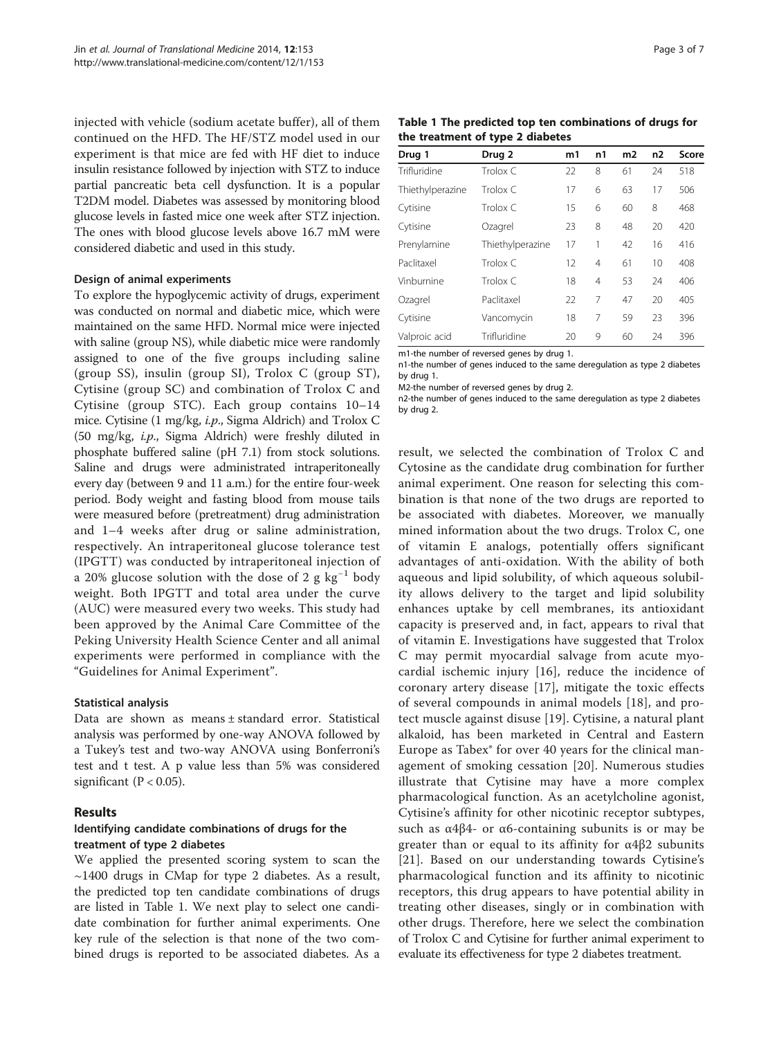injected with vehicle (sodium acetate buffer), all of them continued on the HFD. The HF/STZ model used in our experiment is that mice are fed with HF diet to induce insulin resistance followed by injection with STZ to induce partial pancreatic beta cell dysfunction. It is a popular T2DM model. Diabetes was assessed by monitoring blood glucose levels in fasted mice one week after STZ injection. The ones with blood glucose levels above 16.7 mM were considered diabetic and used in this study.

#### Design of animal experiments

To explore the hypoglycemic activity of drugs, experiment was conducted on normal and diabetic mice, which were maintained on the same HFD. Normal mice were injected with saline (group NS), while diabetic mice were randomly assigned to one of the five groups including saline (group SS), insulin (group SI), Trolox C (group ST), Cytisine (group SC) and combination of Trolox C and Cytisine (group STC). Each group contains 10–14 mice. Cytisine (1 mg/kg, i.p., Sigma Aldrich) and Trolox C (50 mg/kg, i.p., Sigma Aldrich) were freshly diluted in phosphate buffered saline (pH 7.1) from stock solutions. Saline and drugs were administrated intraperitoneally every day (between 9 and 11 a.m.) for the entire four-week period. Body weight and fasting blood from mouse tails were measured before (pretreatment) drug administration and 1–4 weeks after drug or saline administration, respectively. An intraperitoneal glucose tolerance test (IPGTT) was conducted by intraperitoneal injection of a 20% glucose solution with the dose of 2 g kg<sup>-1</sup> body weight. Both IPGTT and total area under the curve (AUC) were measured every two weeks. This study had been approved by the Animal Care Committee of the Peking University Health Science Center and all animal experiments were performed in compliance with the "Guidelines for Animal Experiment".

#### Statistical analysis

Data are shown as means ± standard error. Statistical analysis was performed by one-way ANOVA followed by a Tukey's test and two-way ANOVA using Bonferroni's test and t test. A p value less than 5% was considered significant ( $P < 0.05$ ).

#### Results

#### Identifying candidate combinations of drugs for the treatment of type 2 diabetes

We applied the presented scoring system to scan the  $\sim$ 1400 drugs in CMap for type 2 diabetes. As a result, the predicted top ten candidate combinations of drugs are listed in Table 1. We next play to select one candidate combination for further animal experiments. One key rule of the selection is that none of the two combined drugs is reported to be associated diabetes. As a

|  |                                  |  | Table 1 The predicted top ten combinations of drugs for |  |  |
|--|----------------------------------|--|---------------------------------------------------------|--|--|
|  | the treatment of type 2 diabetes |  |                                                         |  |  |

|                  |                  | m1 | n1             | m2 | n2 | Score |
|------------------|------------------|----|----------------|----|----|-------|
| Drug 1           | Drug 2           |    |                |    |    |       |
| Trifluridine     | Trolox C         | 22 | 8              | 61 | 24 | 518   |
| Thiethylperazine | Trolox C         | 17 | 6              | 63 | 17 | 506   |
| Cytisine         | Trolox C         | 15 | 6              | 60 | 8  | 468   |
| Cytisine         | Ozagrel          | 23 | 8              | 48 | 20 | 420   |
| Prenylamine      | Thiethylperazine | 17 | 1              | 42 | 16 | 416   |
| Paclitaxel       | Trolox C         | 12 | $\overline{4}$ | 61 | 10 | 408   |
| Vinburnine       | Trolox C         | 18 | 4              | 53 | 24 | 406   |
| Ozagrel          | Paclitaxel       | 22 | 7              | 47 | 20 | 405   |
| Cytisine         | Vancomycin       | 18 | 7              | 59 | 23 | 396   |
| Valproic acid    | Trifluridine     | 20 | 9              | 60 | 24 | 396   |

m1-the number of reversed genes by drug 1.

n1-the number of genes induced to the same deregulation as type 2 diabetes by drug 1.

M2-the number of reversed genes by drug 2.

n2-the number of genes induced to the same deregulation as type 2 diabetes by drug 2.

result, we selected the combination of Trolox C and Cytosine as the candidate drug combination for further animal experiment. One reason for selecting this combination is that none of the two drugs are reported to be associated with diabetes. Moreover, we manually mined information about the two drugs. Trolox C, one of vitamin E analogs, potentially offers significant advantages of anti-oxidation. With the ability of both aqueous and lipid solubility, of which aqueous solubility allows delivery to the target and lipid solubility enhances uptake by cell membranes, its antioxidant capacity is preserved and, in fact, appears to rival that of vitamin E. Investigations have suggested that Trolox C may permit myocardial salvage from acute myocardial ischemic injury [[16\]](#page-5-0), reduce the incidence of coronary artery disease [[17\]](#page-5-0), mitigate the toxic effects of several compounds in animal models [\[18](#page-5-0)], and protect muscle against disuse [[19\]](#page-5-0). Cytisine, a natural plant alkaloid, has been marketed in Central and Eastern Europe as Tabex® for over 40 years for the clinical management of smoking cessation [[20\]](#page-5-0). Numerous studies illustrate that Cytisine may have a more complex pharmacological function. As an acetylcholine agonist, Cytisine's affinity for other nicotinic receptor subtypes, such as  $α4β4-$  or  $α6$ -containing subunits is or may be greater than or equal to its affinity for  $α4β2$  subunits [[21](#page-6-0)]. Based on our understanding towards Cytisine's pharmacological function and its affinity to nicotinic receptors, this drug appears to have potential ability in treating other diseases, singly or in combination with other drugs. Therefore, here we select the combination of Trolox C and Cytisine for further animal experiment to evaluate its effectiveness for type 2 diabetes treatment.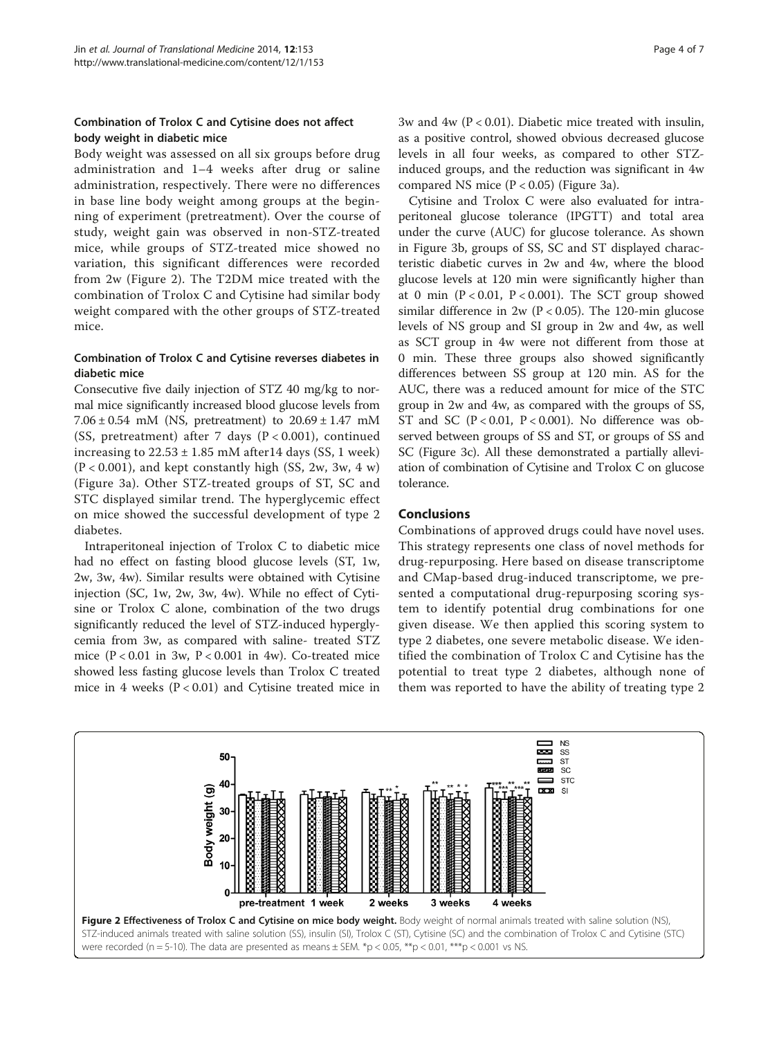## Combination of Trolox C and Cytisine does not affect body weight in diabetic mice

Body weight was assessed on all six groups before drug administration and 1–4 weeks after drug or saline administration, respectively. There were no differences in base line body weight among groups at the beginning of experiment (pretreatment). Over the course of study, weight gain was observed in non-STZ-treated mice, while groups of STZ-treated mice showed no variation, this significant differences were recorded from 2w (Figure 2). The T2DM mice treated with the combination of Trolox C and Cytisine had similar body weight compared with the other groups of STZ-treated mice.

#### Combination of Trolox C and Cytisine reverses diabetes in diabetic mice

Consecutive five daily injection of STZ 40 mg/kg to normal mice significantly increased blood glucose levels from 7.06  $\pm$  0.54 mM (NS, pretreatment) to 20.69  $\pm$  1.47 mM (SS, pretreatment) after 7 days (P < 0.001), continued increasing to  $22.53 \pm 1.85$  mM after 14 days (SS, 1 week)  $(P < 0.001)$ , and kept constantly high (SS, 2w, 3w, 4 w) (Figure [3](#page-4-0)a). Other STZ-treated groups of ST, SC and STC displayed similar trend. The hyperglycemic effect on mice showed the successful development of type 2 diabetes.

Intraperitoneal injection of Trolox C to diabetic mice had no effect on fasting blood glucose levels (ST, 1w, 2w, 3w, 4w). Similar results were obtained with Cytisine injection (SC, 1w, 2w, 3w, 4w). While no effect of Cytisine or Trolox C alone, combination of the two drugs significantly reduced the level of STZ-induced hyperglycemia from 3w, as compared with saline- treated STZ mice  $(P < 0.01$  in 3w,  $P < 0.001$  in 4w). Co-treated mice showed less fasting glucose levels than Trolox C treated mice in 4 weeks  $(P < 0.01)$  and Cytisine treated mice in 3w and 4w ( $P < 0.01$ ). Diabetic mice treated with insulin, as a positive control, showed obvious decreased glucose levels in all four weeks, as compared to other STZinduced groups, and the reduction was significant in 4w compared NS mice  $(P < 0.05)$  (Figure [3a](#page-4-0)).

Cytisine and Trolox C were also evaluated for intraperitoneal glucose tolerance (IPGTT) and total area under the curve (AUC) for glucose tolerance. As shown in Figure [3](#page-4-0)b, groups of SS, SC and ST displayed characteristic diabetic curves in 2w and 4w, where the blood glucose levels at 120 min were significantly higher than at 0 min  $(P < 0.01, P < 0.001)$ . The SCT group showed similar difference in  $2w (P < 0.05)$ . The 120-min glucose levels of NS group and SI group in 2w and 4w, as well as SCT group in 4w were not different from those at 0 min. These three groups also showed significantly differences between SS group at 120 min. AS for the AUC, there was a reduced amount for mice of the STC group in 2w and 4w, as compared with the groups of SS, ST and SC  $(P < 0.01, P < 0.001)$ . No difference was observed between groups of SS and ST, or groups of SS and SC (Figure [3](#page-4-0)c). All these demonstrated a partially alleviation of combination of Cytisine and Trolox C on glucose tolerance.

### Conclusions

Combinations of approved drugs could have novel uses. This strategy represents one class of novel methods for drug-repurposing. Here based on disease transcriptome and CMap-based drug-induced transcriptome, we presented a computational drug-repurposing scoring system to identify potential drug combinations for one given disease. We then applied this scoring system to type 2 diabetes, one severe metabolic disease. We identified the combination of Trolox C and Cytisine has the potential to treat type 2 diabetes, although none of them was reported to have the ability of treating type 2

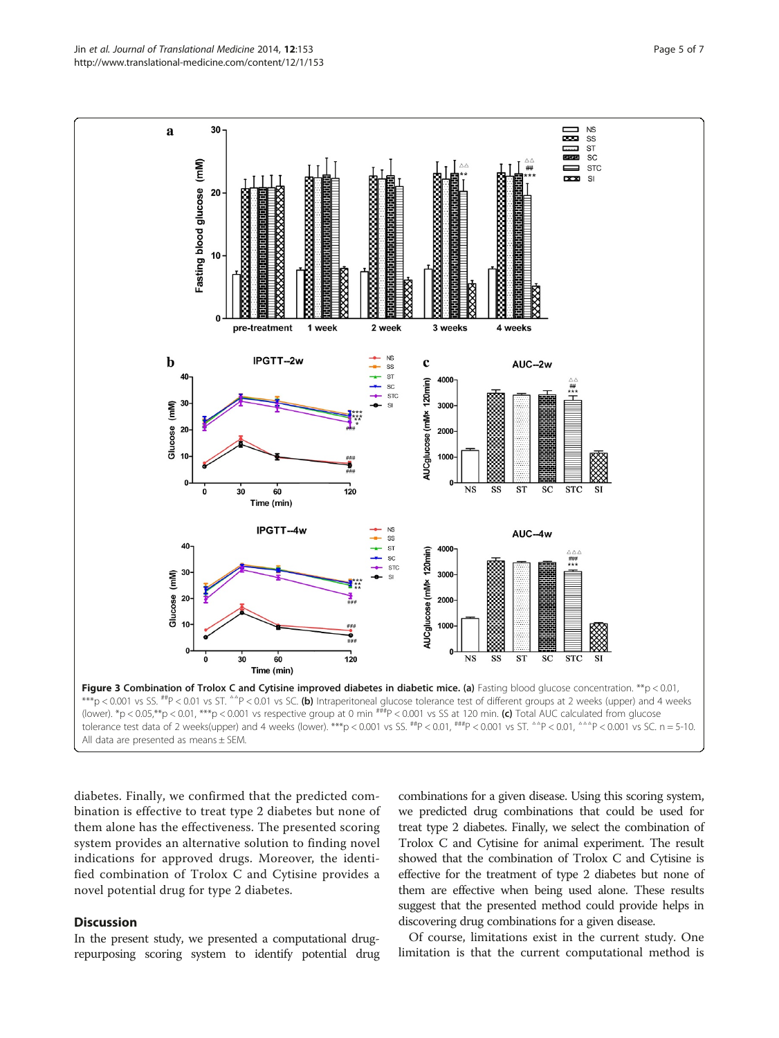<span id="page-4-0"></span>

diabetes. Finally, we confirmed that the predicted combination is effective to treat type 2 diabetes but none of them alone has the effectiveness. The presented scoring system provides an alternative solution to finding novel indications for approved drugs. Moreover, the identified combination of Trolox C and Cytisine provides a novel potential drug for type 2 diabetes.

#### **Discussion**

In the present study, we presented a computational drugrepurposing scoring system to identify potential drug

combinations for a given disease. Using this scoring system, we predicted drug combinations that could be used for treat type 2 diabetes. Finally, we select the combination of Trolox C and Cytisine for animal experiment. The result showed that the combination of Trolox C and Cytisine is effective for the treatment of type 2 diabetes but none of them are effective when being used alone. These results suggest that the presented method could provide helps in discovering drug combinations for a given disease.

Of course, limitations exist in the current study. One limitation is that the current computational method is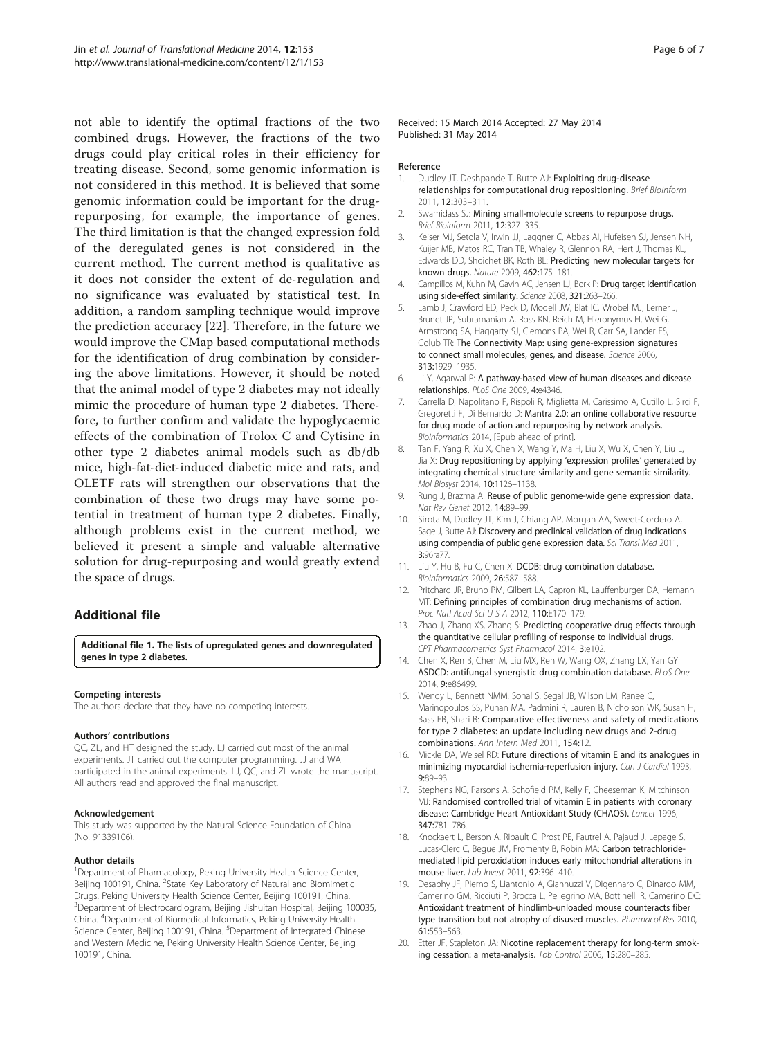<span id="page-5-0"></span>not able to identify the optimal fractions of the two combined drugs. However, the fractions of the two drugs could play critical roles in their efficiency for treating disease. Second, some genomic information is not considered in this method. It is believed that some genomic information could be important for the drugrepurposing, for example, the importance of genes. The third limitation is that the changed expression fold of the deregulated genes is not considered in the current method. The current method is qualitative as it does not consider the extent of de-regulation and no significance was evaluated by statistical test. In addition, a random sampling technique would improve the prediction accuracy [\[22](#page-6-0)]. Therefore, in the future we would improve the CMap based computational methods for the identification of drug combination by considering the above limitations. However, it should be noted that the animal model of type 2 diabetes may not ideally mimic the procedure of human type 2 diabetes. Therefore, to further confirm and validate the hypoglycaemic effects of the combination of Trolox C and Cytisine in other type 2 diabetes animal models such as db/db mice, high-fat-diet-induced diabetic mice and rats, and OLETF rats will strengthen our observations that the combination of these two drugs may have some potential in treatment of human type 2 diabetes. Finally, although problems exist in the current method, we believed it present a simple and valuable alternative solution for drug-repurposing and would greatly extend the space of drugs.

## Additional file

[Additional file 1.](http://www.biomedcentral.com/content/supplementary/1479-5876-12-153-S1.txt) The lists of upregulated genes and downregulated genes in type 2 diabetes.

#### Competing interests

The authors declare that they have no competing interests.

#### Authors' contributions

QC, ZL, and HT designed the study. LJ carried out most of the animal experiments. JT carried out the computer programming. JJ and WA participated in the animal experiments. LJ, QC, and ZL wrote the manuscript. All authors read and approved the final manuscript.

#### Acknowledgement

This study was supported by the Natural Science Foundation of China (No. 91339106).

#### Author details

<sup>1</sup>Department of Pharmacology, Peking University Health Science Center, Beijing 100191, China. <sup>2</sup>State Key Laboratory of Natural and Biomimetic Drugs, Peking University Health Science Center, Beijing 100191, China. <sup>3</sup>Department of Electrocardiogram, Beijing Jishuitan Hospital, Beijing 100035, China. <sup>4</sup>Department of Biomedical Informatics, Peking University Health Science Center, Beijing 100191, China. <sup>5</sup>Department of Integrated Chinese and Western Medicine, Peking University Health Science Center, Beijing 100191, China.

Received: 15 March 2014 Accepted: 27 May 2014 Published: 31 May 2014

#### Reference

- 1. Dudley JT, Deshpande T, Butte AJ: Exploiting drug-disease relationships for computational drug repositioning. Brief Bioinform 2011, 12:303–311.
- Swamidass SJ: Mining small-molecule screens to repurpose drugs. Brief Bioinform 2011, 12:327–335.
- 3. Keiser MJ, Setola V, Irwin JJ, Laggner C, Abbas AI, Hufeisen SJ, Jensen NH, Kuijer MB, Matos RC, Tran TB, Whaley R, Glennon RA, Hert J, Thomas KL, Edwards DD, Shoichet BK, Roth BL: Predicting new molecular targets for known drugs. Nature 2009, 462:175–181.
- Campillos M, Kuhn M, Gavin AC, Jensen LJ, Bork P: Drug target identification using side-effect similarity. Science 2008, 321:263–266.
- 5. Lamb J, Crawford ED, Peck D, Modell JW, Blat IC, Wrobel MJ, Lerner J, Brunet JP, Subramanian A, Ross KN, Reich M, Hieronymus H, Wei G, Armstrong SA, Haggarty SJ, Clemons PA, Wei R, Carr SA, Lander ES, Golub TR: The Connectivity Map: using gene-expression signatures to connect small molecules, genes, and disease. Science 2006, 313:1929–1935.
- 6. Li Y, Agarwal P: A pathway-based view of human diseases and disease relationships. PLoS One 2009, 4:e4346.
- 7. Carrella D, Napolitano F, Rispoli R, Miglietta M, Carissimo A, Cutillo L, Sirci F, Gregoretti F, Di Bernardo D: Mantra 2.0: an online collaborative resource for drug mode of action and repurposing by network analysis. Bioinformatics 2014, [Epub ahead of print].
- 8. Tan F, Yang R, Xu X, Chen X, Wang Y, Ma H, Liu X, Wu X, Chen Y, Liu L, Jia X: Drug repositioning by applying 'expression profiles' generated by integrating chemical structure similarity and gene semantic similarity. Mol Biosyst 2014, 10:1126–1138.
- 9. Rung J, Brazma A: Reuse of public genome-wide gene expression data. Nat Rev Genet 2012, 14:89–99.
- 10. Sirota M, Dudley JT, Kim J, Chiang AP, Morgan AA, Sweet-Cordero A, Sage J, Butte AJ: Discovery and preclinical validation of drug indications using compendia of public gene expression data. Sci Transl Med 2011, 3:96ra77.
- 11. Liu Y, Hu B, Fu C, Chen X: DCDB: drug combination database. Bioinformatics 2009, 26:587–588.
- 12. Pritchard JR, Bruno PM, Gilbert LA, Capron KL, Lauffenburger DA, Hemann MT: Defining principles of combination drug mechanisms of action. Proc Natl Acad Sci U S A 2012, 110:E170–179.
- 13. Zhao J, Zhang XS, Zhang S: Predicting cooperative drug effects through the quantitative cellular profiling of response to individual drugs. CPT Pharmacometrics Syst Pharmacol 2014, 3:e102.
- 14. Chen X, Ren B, Chen M, Liu MX, Ren W, Wang QX, Zhang LX, Yan GY: ASDCD: antifungal synergistic drug combination database. PLoS One 2014, 9:e86499
- 15. Wendy L, Bennett NMM, Sonal S, Segal JB, Wilson LM, Ranee C, Marinopoulos SS, Puhan MA, Padmini R, Lauren B, Nicholson WK, Susan H, Bass EB, Shari B: Comparative effectiveness and safety of medications for type 2 diabetes: an update including new drugs and 2-drug combinations. Ann Intern Med 2011, 154:12.
- 16. Mickle DA, Weisel RD: Future directions of vitamin E and its analogues in minimizing myocardial ischemia-reperfusion injury. Can J Cardiol 1993, 9:89–93.
- 17. Stephens NG, Parsons A, Schofield PM, Kelly F, Cheeseman K, Mitchinson MJ: Randomised controlled trial of vitamin E in patients with coronary disease: Cambridge Heart Antioxidant Study (CHAOS). Lancet 1996, 347:781–786.
- 18. Knockaert L, Berson A, Ribault C, Prost PE, Fautrel A, Pajaud J, Lepage S, Lucas-Clerc C, Begue JM, Fromenty B, Robin MA: Carbon tetrachloridemediated lipid peroxidation induces early mitochondrial alterations in mouse liver. Lab Invest 2011, 92:396–410.
- 19. Desaphy JF, Pierno S, Liantonio A, Giannuzzi V, Digennaro C, Dinardo MM, Camerino GM, Ricciuti P, Brocca L, Pellegrino MA, Bottinelli R, Camerino DC: Antioxidant treatment of hindlimb-unloaded mouse counteracts fiber type transition but not atrophy of disused muscles. Pharmacol Res 2010, 61:553–563.
- 20. Etter JF, Stapleton JA: Nicotine replacement therapy for long-term smoking cessation: a meta-analysis. Tob Control 2006, 15:280–285.